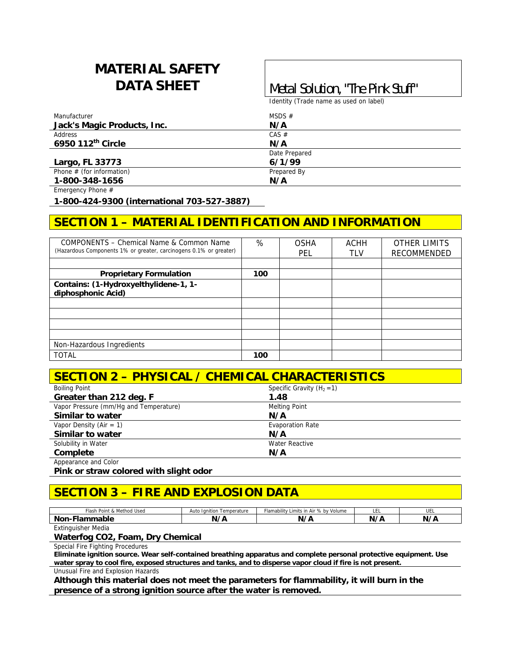# **MATERIAL SAFETY**

## **DATA SHEET** | Metal Solution, "The Pink Stuff"

Identity (Trade name as used on label)

| Manufacturer                | MSDS $#$      |  |
|-----------------------------|---------------|--|
| Jack's Magic Products, Inc. | N/A           |  |
| Address                     | CAS #         |  |
| 6950 112th Circle           | N/A           |  |
|                             | Date Prepared |  |
| Largo, FL 33773             | 6/1/99        |  |
| Phone $#$ (for information) | Prepared By   |  |
| 1-800-348-1656              | N/A           |  |

Emergency Phone #

**1-800-424-9300 (international 703-527-3887)** 

#### **SECTION 1 – MATERIAL IDENTIFICATION AND INFORMATION**

| COMPONENTS - Chemical Name & Common Name<br>(Hazardous Components 1% or greater, carcinogens 0.1% or greater) | %   | <b>OSHA</b><br>PEL | <b>ACHH</b><br><b>TLV</b> | <b>OTHER LIMITS</b><br><b>RECOMMENDED</b> |
|---------------------------------------------------------------------------------------------------------------|-----|--------------------|---------------------------|-------------------------------------------|
|                                                                                                               |     |                    |                           |                                           |
| <b>Proprietary Formulation</b>                                                                                | 100 |                    |                           |                                           |
| Contains: (1-Hydroxyelthylidene-1, 1-<br>diphosphonic Acid)                                                   |     |                    |                           |                                           |
|                                                                                                               |     |                    |                           |                                           |
|                                                                                                               |     |                    |                           |                                           |
|                                                                                                               |     |                    |                           |                                           |
|                                                                                                               |     |                    |                           |                                           |
| Non-Hazardous Ingredients                                                                                     |     |                    |                           |                                           |
| <b>TOTAL</b>                                                                                                  | 100 |                    |                           |                                           |

#### **SECTION 2 – PHYSICAL / CHEMICAL CHARACTERISTICS**

| <b>Boiling Point</b>                   | Specific Gravity $(H_2 = 1)$ |  |
|----------------------------------------|------------------------------|--|
| Greater than 212 deg. F                | 1.48                         |  |
| Vapor Pressure (mm/Hq and Temperature) | <b>Melting Point</b>         |  |
| Similar to water                       | N/A                          |  |
| Vapor Density (Air = 1)                | <b>Evaporation Rate</b>      |  |
| Similar to water                       | N/A                          |  |
| Solubility in Water                    | <b>Water Reactive</b>        |  |
| Complete                               | N/A                          |  |
| Appearance and Color                   |                              |  |

**Pink or straw colored with slight odor** 

#### **SECTION 3 – FIRE AND EXPLOSION DATA**

| & Method Used<br>Flash<br>Point | Ignition<br>Temperature<br>uto :<br> | Flamability<br>Limits in<br>Volume<br>., bv<br>.ı Air | ᄔ  | UEL |
|---------------------------------|--------------------------------------|-------------------------------------------------------|----|-----|
| .<br>Non-F<br>nmapie<br>·lai    | $^{\prime}$                          | N/I                                                   | N. | N/I |

Extinguisher Media

#### **Waterfog CO2, Foam, Dry Chemical**

Special Fire Fighting Procedures

**Eliminate ignition source. Wear self-contained breathing apparatus and complete personal protective equipment. Use water spray to cool fire, exposed structures and tanks, and to disperse vapor cloud if fire is not present.** 

Unusual Fire and Explosion Hazards

**Although this material does not meet the parameters for flammability, it will burn in the presence of a strong ignition source after the water is removed.**